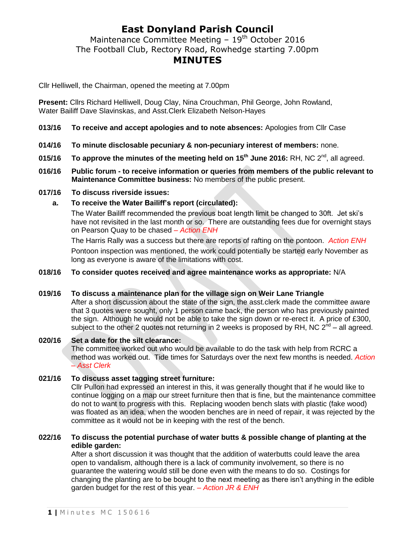## **East Donyland Parish Council**

Maintenance Committee Meeting  $-19<sup>th</sup>$  October 2016 The Football Club, Rectory Road, Rowhedge starting 7.00pm **MINUTES**

Cllr Helliwell, the Chairman, opened the meeting at 7.00pm

**Present:** Cllrs Richard Helliwell, Doug Clay, Nina Crouchman, Phil George, John Rowland, Water Bailiff Dave Slavinskas, and Asst.Clerk Elizabeth Nelson-Hayes

- **013/16 To receive and accept apologies and to note absences:** Apologies from Cllr Case
- **014/16 To minute disclosable pecuniary & non-pecuniary interest of members:** none.
- **015/16 To approve the minutes of the meeting held on 15th June 2016:** RH, NC 2nd , all agreed.
- **016/16 Public forum - to receive information or queries from members of the public relevant to Maintenance Committee business:** No members of the public present.
- **017/16 To discuss riverside issues:**
	- **a. To receive the Water Bailiff's report (circulated):**

The Water Bailiff recommended the previous boat length limit be changed to 30ft. Jet ski's have not revisited in the last month or so. There are outstanding fees due for overnight stays on Pearson Quay to be chased *– Action ENH*

The Harris Rally was a success but there are reports of rafting on the pontoon. *Action ENH* Pontoon inspection was mentioned, the work could potentially be started early November as long as everyone is aware of the limitations with cost.

### **018/16 To consider quotes received and agree maintenance works as appropriate:** N/A

#### **019/16 To discuss a maintenance plan for the village sign on Weir Lane Triangle**

After a short discussion about the state of the sign, the asst.clerk made the committee aware that 3 quotes were sought, only 1 person came back, the person who has previously painted the sign. Although he would not be able to take the sign down or re-erect it. A price of £300, subject to the other 2 quotes not returning in 2 weeks is proposed by RH, NC  $2^{\text{nd}}$  – all agreed.

#### **020/16 Set a date for the silt clearance:**

The committee worked out who would be available to do the task with help from RCRC a method was worked out. Tide times for Saturdays over the next few months is needed. *Action – Asst Clerk*

#### **021/16 To discuss asset tagging street furniture:**

Cllr Pullon had expressed an interest in this, it was generally thought that if he would like to continue logging on a map our street furniture then that is fine, but the maintenance committee do not to want to progress with this. Replacing wooden bench slats with plastic (fake wood) was floated as an idea, when the wooden benches are in need of repair, it was rejected by the committee as it would not be in keeping with the rest of the bench.

#### **022/16 To discuss the potential purchase of water butts & possible change of planting at the edible garden:**

After a short discussion it was thought that the addition of waterbutts could leave the area open to vandalism, although there is a lack of community involvement, so there is no guarantee the watering would still be done even with the means to do so. Costings for changing the planting are to be bought to the next meeting as there isn't anything in the edible garden budget for the rest of this year. *– Action JR & ENH*